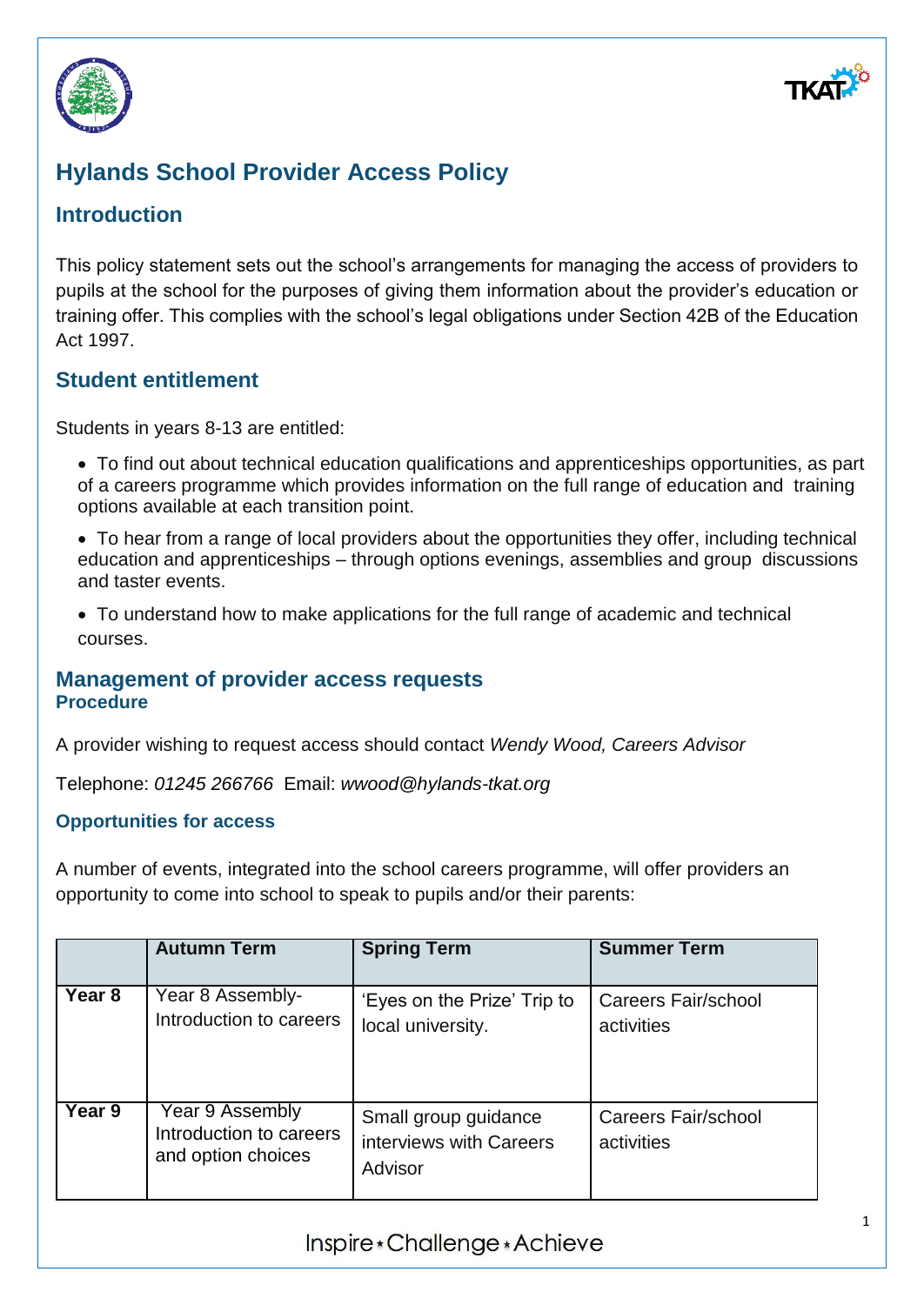



# **Hylands School Provider Access Policy**

## **Introduction**

This policy statement sets out the school's arrangements for managing the access of providers to pupils at the school for the purposes of giving them information about the provider's education or training offer. This complies with the school's legal obligations under Section 42B of the Education Act 1997.

### **Student entitlement**

Students in years 8-13 are entitled:

- To find out about technical education qualifications and apprenticeships opportunities, as part of a careers programme which provides information on the full range of education and training options available at each transition point.
- To hear from a range of local providers about the opportunities they offer, including technical education and apprenticeships – through options evenings, assemblies and group discussions and taster events.
- To understand how to make applications for the full range of academic and technical courses.

#### **Management of provider access requests Procedure**

A provider wishing to request access should contact *Wendy Wood, Careers Advisor*

Telephone: *01245 266766* Email: *wwood@hylands-tkat.org*

#### **Opportunities for access**

A number of events, integrated into the school careers programme, will offer providers an opportunity to come into school to speak to pupils and/or their parents:

|                   | <b>Autumn Term</b>                                               | <b>Spring Term</b>                                         | <b>Summer Term</b>                       |
|-------------------|------------------------------------------------------------------|------------------------------------------------------------|------------------------------------------|
| Year <sub>8</sub> | Year 8 Assembly-<br>Introduction to careers                      | 'Eyes on the Prize' Trip to<br>local university.           | <b>Careers Fair/school</b><br>activities |
| Year 9            | Year 9 Assembly<br>Introduction to careers<br>and option choices | Small group guidance<br>interviews with Careers<br>Advisor | Careers Fair/school<br>activities        |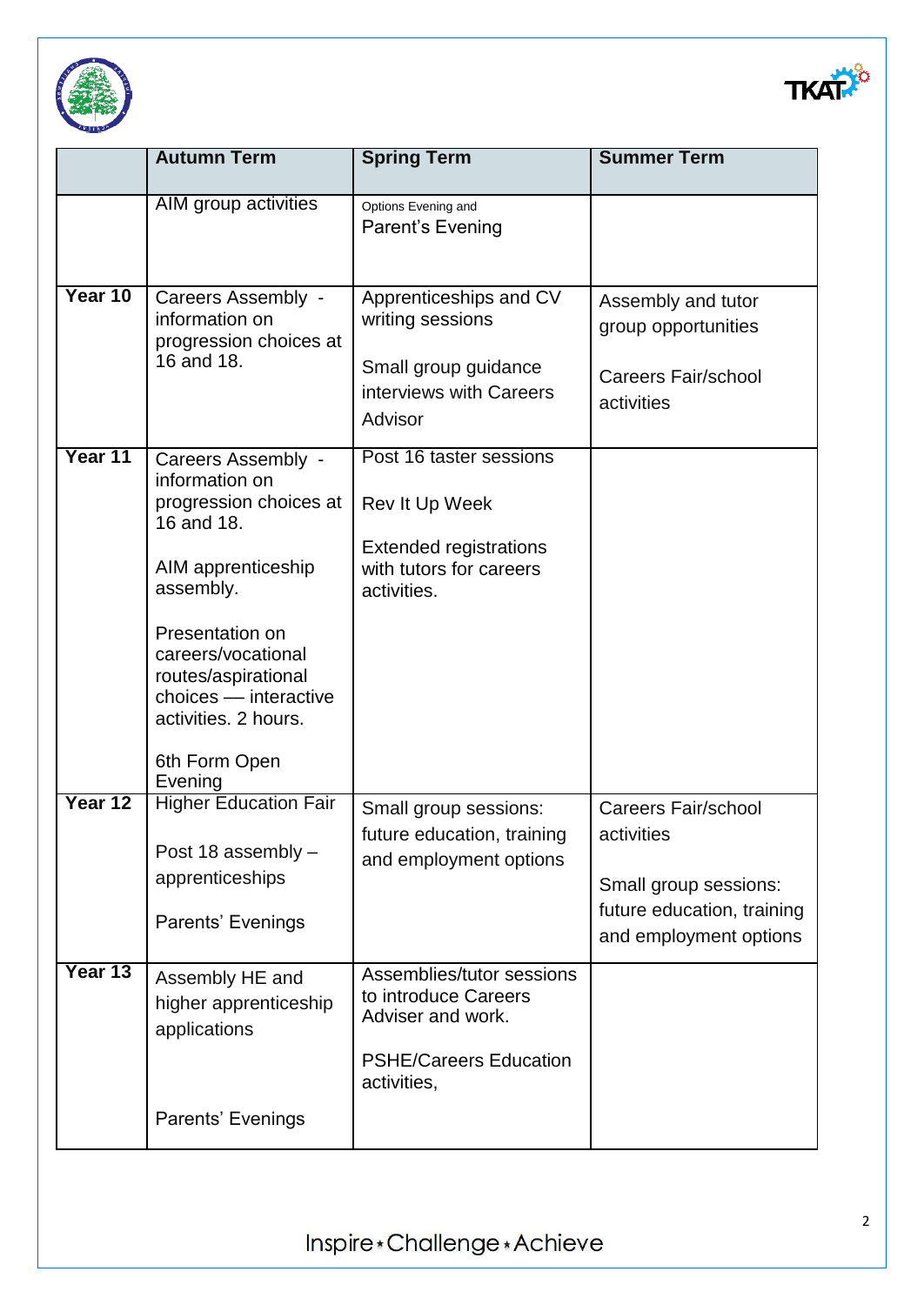



|         | <b>Autumn Term</b>                                                                                                                                                                                                                                           | <b>Spring Term</b>                                                                                                     | <b>Summer Term</b>                                                                                                        |
|---------|--------------------------------------------------------------------------------------------------------------------------------------------------------------------------------------------------------------------------------------------------------------|------------------------------------------------------------------------------------------------------------------------|---------------------------------------------------------------------------------------------------------------------------|
|         | AIM group activities                                                                                                                                                                                                                                         | Options Evening and<br>Parent's Evening                                                                                |                                                                                                                           |
| Year 10 | Careers Assembly -<br>information on<br>progression choices at<br>16 and 18.                                                                                                                                                                                 | Apprenticeships and CV<br>writing sessions<br>Small group guidance<br>interviews with Careers<br>Advisor               | Assembly and tutor<br>group opportunities<br><b>Careers Fair/school</b><br>activities                                     |
| Year 11 | Careers Assembly -<br>information on<br>progression choices at<br>16 and 18.<br>AIM apprenticeship<br>assembly.<br>Presentation on<br>careers/vocational<br>routes/aspirational<br>choices - interactive<br>activities. 2 hours.<br>6th Form Open<br>Evening | Post 16 taster sessions<br>Rev It Up Week<br><b>Extended registrations</b><br>with tutors for careers<br>activities.   |                                                                                                                           |
| Year 12 | <b>Higher Education Fair</b><br>Post 18 assembly -<br>apprenticeships<br>Parents' Evenings                                                                                                                                                                   | Small group sessions:<br>future education, training<br>and employment options                                          | <b>Careers Fair/school</b><br>activities<br>Small group sessions:<br>future education, training<br>and employment options |
| Year 13 | Assembly HE and<br>higher apprenticeship<br>applications<br>Parents' Evenings                                                                                                                                                                                | Assemblies/tutor sessions<br>to introduce Careers<br>Adviser and work.<br><b>PSHE/Careers Education</b><br>activities, |                                                                                                                           |